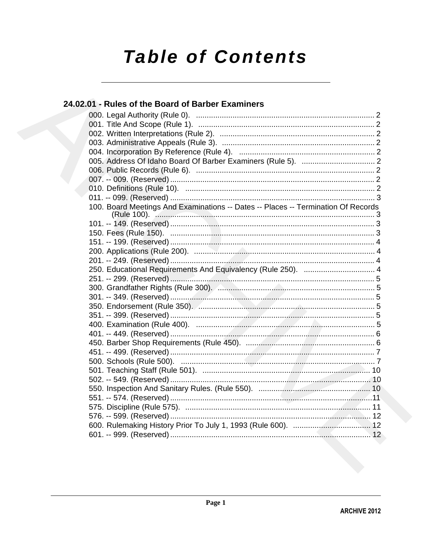# **Table of Contents**

## 24.02.01 - Rules of the Board of Barber Examiners

| 100. Board Meetings And Examinations -- Dates -- Places -- Termination Of Records |
|-----------------------------------------------------------------------------------|
|                                                                                   |
|                                                                                   |
|                                                                                   |
|                                                                                   |
|                                                                                   |
| 250. Educational Requirements And Equivalency (Rule 250).  4                      |
|                                                                                   |
|                                                                                   |
|                                                                                   |
|                                                                                   |
|                                                                                   |
|                                                                                   |
|                                                                                   |
|                                                                                   |
|                                                                                   |
|                                                                                   |
|                                                                                   |
|                                                                                   |
|                                                                                   |
|                                                                                   |
|                                                                                   |
|                                                                                   |
|                                                                                   |
|                                                                                   |
|                                                                                   |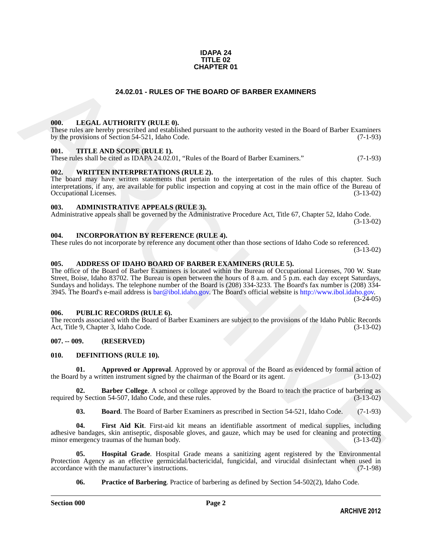#### **IDAPA 24 TITLE 02 CHAPTER 01**

#### **24.02.01 - RULES OF THE BOARD OF BARBER EXAMINERS**

#### <span id="page-1-1"></span><span id="page-1-0"></span>**000. LEGAL AUTHORITY (RULE 0).**

These rules are hereby prescribed and established pursuant to the authority vested in the Board of Barber Examiners by the provisions of Section 54-521, Idaho Code. (7-1-93)

#### <span id="page-1-2"></span>**001. TITLE AND SCOPE (RULE 1).**

These rules shall be cited as IDAPA 24.02.01, "Rules of the Board of Barber Examiners." (7-1-93)

#### <span id="page-1-3"></span>**002. WRITTEN INTERPRETATIONS (RULE 2).**

The board may have written statements that pertain to the interpretation of the rules of this chapter. Such interpretations, if any, are available for public inspection and copying at cost in the main office of the Bureau of Occupational Licenses. (3-13-02) Occupational Licenses.

#### <span id="page-1-4"></span>**003. ADMINISTRATIVE APPEALS (RULE 3).**

Administrative appeals shall be governed by the Administrative Procedure Act, Title 67, Chapter 52, Idaho Code. (3-13-02)

#### <span id="page-1-5"></span>**004. INCORPORATION BY REFERENCE (RULE 4).**

These rules do not incorporate by reference any document other than those sections of Idaho Code so referenced. (3-13-02)

#### <span id="page-1-10"></span><span id="page-1-6"></span>**005. ADDRESS OF IDAHO BOARD OF BARBER EXAMINERS (RULE 5).**

**24.02.01 - RULES OF THE BOARD OF BARBER EXAMINERS**<br>
The mission interpretation of the mission increase the fact of the filamely speed in the filamely speed in the filamely interest.<br>
The mission interest of the mission i The office of the Board of Barber Examiners is located within the Bureau of Occupational Licenses, 700 W. State Street, Boise, Idaho 83702. The Bureau is open between the hours of 8 a.m. and 5 p.m. each day except Saturdays, Sundays and holidays. The telephone number of the Board is (208) 334-3233. The Board's fax number is (208) 334- 3945. The Board's e-mail address is  $bar@ibol.idaho.gov$ . The Board's official website is http://www.ibol.idaho.gov.  $(3-24-05)$ 

#### <span id="page-1-7"></span>**006. PUBLIC RECORDS (RULE 6).**

The records associated with the Board of Barber Examiners are subject to the provisions of the Idaho Public Records<br>Act, Title 9, Chapter 3, Idaho Code. (3-13-02) Act, Title 9, Chapter 3, Idaho Code.

#### <span id="page-1-8"></span>**007. -- 009. (RESERVED)**

#### <span id="page-1-11"></span><span id="page-1-9"></span>**010. DEFINITIONS (RULE 10).**

<span id="page-1-12"></span>**01. Approved or Approval**. Approved by or approval of the Board as evidenced by formal action of d by a written instrument signed by the chairman of the Board or its agent. (3-13-02) the Board by a written instrument signed by the chairman of the Board or its agent.

**02. Barber College**. A school or college approved by the Board to teach the practice of barbering as required by Section 54-507, Idaho Code, and these rules. (3-13-02)

<span id="page-1-15"></span><span id="page-1-14"></span><span id="page-1-13"></span>**03. Board**. The Board of Barber Examiners as prescribed in Section 54-521, Idaho Code. (7-1-93)

**04. First Aid Kit**. First-aid kit means an identifiable assortment of medical supplies, including adhesive bandages, skin antiseptic, disposable gloves, and gauze, which may be used for cleaning and protecting minor emergency traumas of the human body. (3-13-02)

**05. Hospital Grade**. Hospital Grade means a sanitizing agent registered by the Environmental Protection Agency as an effective germicidal/bactericidal, fungicidal, and virucidal disinfectant when used in accordance with the manufacturer's instructions. (7-1-98) accordance with the manufacturer's instructions.

<span id="page-1-17"></span><span id="page-1-16"></span>**06. Practice of Barbering**. Practice of barbering as defined by Section 54-502(2), Idaho Code.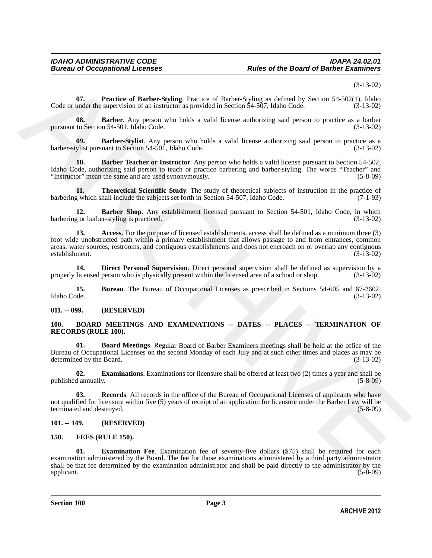(3-13-02)

<span id="page-2-15"></span>**07. Practice of Barber-Styling**. Practice of Barber-Styling as defined by Section 54-502(1), Idaho Code or under the supervision of an instructor as provided in Section 54-507, Idaho Code. (3-13-02)

<span id="page-2-9"></span>**08. Barber**. Any person who holds a valid license authorizing said person to practice as a barber to Section 54-501, Idaho Code. (3-13-02) pursuant to Section 54-501, Idaho Code.

<span id="page-2-12"></span>**09. Barber-Stylist**. Any person who holds a valid license authorizing said person to practice as a barber-stylist pursuant to Section 54-501, Idaho Code. (3-13-02)

<span id="page-2-11"></span>**10. Barber Teacher or Instructor**. Any person who holds a valid license pursuant to Section 54-502, Idaho Code, authorizing said person to teach or practice barbering and barber-styling. The words "Teacher" and<br>
"Instructor" mean the same and are used synonymously. (5-8-09) "Instructor" mean the same and are used synonymously. (5-8-09)

<span id="page-2-16"></span>**11. Theoretical Scientific Study**. The study of theoretical subjects of instruction in the practice of which shall include the subjects set forth in Section 54-507. Idaho Code. (7-1-93) barbering which shall include the subjects set forth in Section 54-507, Idaho Code.

<span id="page-2-10"></span><span id="page-2-8"></span>**12. Barber Shop**. Any establishment licensed pursuant to Section 54-501, Idaho Code, in which por barber-styling is practiced. barbering or barber-styling is practiced.

Costs or under the Particular Bureau of Bureau of Bureau of Bureau of Bureau of ASS or under the Society of the Society of the Society of the Society of the Society of the Society of the Society of the Society of the Soci **13. Access**. For the purpose of licensed establishments, access shall be defined as a minimum three (3) foot wide unobstructed path within a primary establishment that allows passage to and from entrances, common areas, water sources, restrooms, and contiguous establishments and does not encroach on or overlap any contiguous establishment. (3-13-02)

<span id="page-2-14"></span>**14. Direct Personal Supervision**. Direct personal supervision shall be defined as supervision by a properly licensed person who is physically present within the licensed area of a school or shop. (3-13-02)

<span id="page-2-13"></span>**15. Bureau**. The Bureau of Occupational Licenses as prescribed in Sections 54-605 and 67-2602,<br>(3-13-02) (3-13-02) Idaho Code. (3-13-02)

#### <span id="page-2-0"></span>**011. -- 099. (RESERVED)**

#### <span id="page-2-4"></span><span id="page-2-1"></span>**100. BOARD MEETINGS AND EXAMINATIONS -- DATES -- PLACES -- TERMINATION OF RECORDS (RULE 100).**

<span id="page-2-5"></span>**01. Board Meetings**. Regular Board of Barber Examiners meetings shall be held at the office of the Bureau of Occupational Licenses on the second Monday of each July and at such other times and places as may be determined by the Board. (3-13-02) determined by the Board.

<span id="page-2-6"></span>**02. Examinations**. Examinations for licensure shall be offered at least two (2) times a year and shall be published annually. (5-8-09)

<span id="page-2-7"></span>**03. Records**. All records in the office of the Bureau of Occupational Licenses of applicants who have not qualified for licensure within five (5) years of receipt of an application for licensure under the Barber Law will be terminated and destroyed.

#### <span id="page-2-2"></span>**101. -- 149. (RESERVED)**

#### <span id="page-2-17"></span><span id="page-2-3"></span>**150. FEES (RULE 150).**

<span id="page-2-18"></span>**01. Examination Fee**. Examination fee of seventy-five dollars (\$75) shall be required for each examination administered by the Board. The fee for those examinations administered by a third party administrator shall be that fee determined by the examination administrator and shall be paid directly to the administrator by the applicant. (5-8-09) applicant. (5-8-09)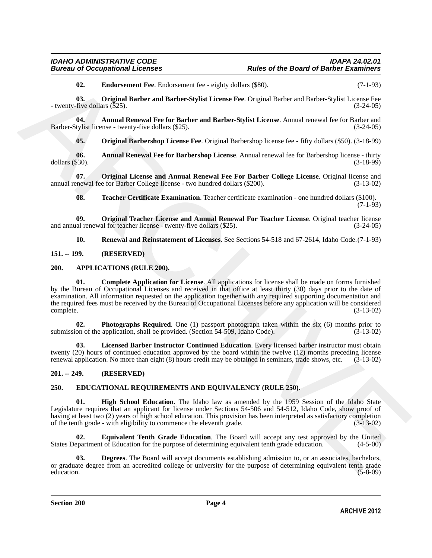# *IDAHO ADMINISTRATIVE CODE IDAPA 24.02.01*

<span id="page-3-15"></span><span id="page-3-14"></span>**02. Endorsement Fee**. Endorsement fee - eighty dollars (\$80). (7-1-93)

**03. Original Barber and Barber-Stylist License Fee**. Original Barber and Barber-Stylist License Fee - twenty-five dollars (\$25). (3-24-05)

**04.** Annual Renewal Fee for Barber and Barber-Stylist License. Annual renewal fee for Barber and tylist license - twenty-five dollars (\$25). Barber-Stylist license - twenty-five dollars (\$25).

<span id="page-3-16"></span><span id="page-3-13"></span><span id="page-3-12"></span>**05. Original Barbershop License Fee**. Original Barbershop license fee - fifty dollars (\$50). (3-18-99)

**06.** Annual Renewal Fee for Barbershop License. Annual renewal fee for Barbershop license - thirty \$30). (3-18-99) dollars  $(\$30)$ .

**07. Original License and Annual Renewal Fee For Barber College License**. Original license and annual renewal fee for Barber College license - two hundred dollars (\$200). (3-13-02)

<span id="page-3-20"></span><span id="page-3-18"></span><span id="page-3-17"></span>**08. Teacher Certificate Examination**. Teacher certificate examination - one hundred dollars (\$100). (7-1-93)

**09. Original Teacher License and Annual Renewal For Teacher License**. Original teacher license all renewal for teacher license - twenty-five dollars (\$25). and annual renewal for teacher license - twenty-five dollars  $(\$25)$ .

<span id="page-3-19"></span><span id="page-3-5"></span><span id="page-3-4"></span>**10. Renewal and Reinstatement of Licenses**. See Sections 54-518 and 67-2614, Idaho Code.(7-1-93)

<span id="page-3-0"></span>**151. -- 199. (RESERVED)**

#### <span id="page-3-1"></span>**200. APPLICATIONS (RULE 200).**

**Example 2** Endocrement For Fordcorence for eighty dollaris (850).<br>
A Christian Driveher and Barber-Skylist License For Original Barber-and Barber-Skylist License For Christian Endocretic Control and Figure Endors (1974)<br> **01. Complete Application for License**. All applications for license shall be made on forms furnished by the Bureau of Occupational Licenses and received in that office at least thirty (30) days prior to the date of examination. All information requested on the application together with any required supporting documentation and the required fees must be received by the Bureau of Occupational Licenses before any application will be considered complete. (3-13-02) complete. (3-13-02)

<span id="page-3-7"></span>**02. Photographs Required**. One (1) passport photograph taken within the six (6) months prior to on of the application, shall be provided. (Section 54-509, Idaho Code). (3-13-02) submission of the application, shall be provided. (Section 54-509, Idaho Code).

<span id="page-3-6"></span>**03. Licensed Barber Instructor Continued Education**. Every licensed barber instructor must obtain twenty (20) hours of continued education approved by the board within the twelve (12) months preceding license renewal application. No more than eight (8) hours credit may be obtained in seminars, trade shows, etc. (3-13-02)

#### <span id="page-3-2"></span>**201. -- 249. (RESERVED)**

#### <span id="page-3-8"></span><span id="page-3-3"></span>**250. EDUCATIONAL REQUIREMENTS AND EQUIVALENCY (RULE 250).**

<span id="page-3-11"></span>**01. High School Education**. The Idaho law as amended by the 1959 Session of the Idaho State Legislature requires that an applicant for license under Sections 54-506 and 54-512, Idaho Code, show proof of having at least two (2) years of high school education. This provision has been interpreted as satisfactory completion of the tenth grade - with eligibility to commence the eleventh grade. (3-13-02)

<span id="page-3-10"></span>**02. Equivalent Tenth Grade Education**. The Board will accept any test approved by the United States Department of Education for the purpose of determining equivalent tenth grade education. (4-5-00)

<span id="page-3-9"></span>**03. Degrees**. The Board will accept documents establishing admission to, or an associates, bachelors, or graduate degree from an accredited college or university for the purpose of determining equivalent tenth grade education. (5-8-09) education. (5-8-09)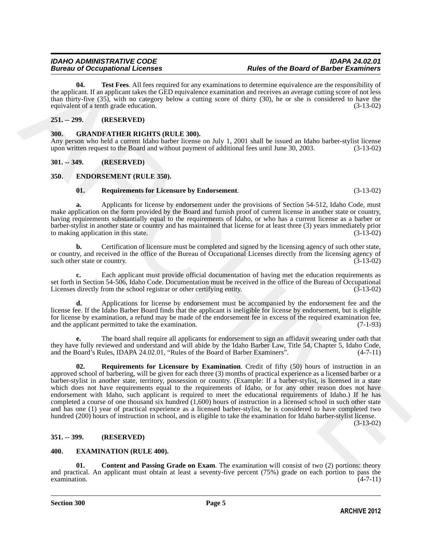<span id="page-4-6"></span>**04. Test Fees**. All fees required for any examinations to determine equivalence are the responsibility of the applicant. If an applicant takes the GED equivalence examination and receives an average cutting score of not less than thirty-five (35), with no category below a cutting score of thirty (30), he or she is considered to have the equivalent of a tenth grade education. (3-13-02)

### <span id="page-4-0"></span>**251. -- 299. (RESERVED)**

#### <span id="page-4-12"></span><span id="page-4-1"></span>**300. GRANDFATHER RIGHTS (RULE 300).**

Any person who held a current Idaho barber license on July 1, 2001 shall be issued an Idaho barber-stylist license upon written request to the Board and without payment of additional fees until June 30, 2003. (3-13-02)

#### <span id="page-4-2"></span>**301. -- 349. (RESERVED)**

#### <span id="page-4-3"></span>**350. ENDORSEMENT (RULE 350).**

#### <span id="page-4-8"></span><span id="page-4-7"></span>**01. Requirements for Licensure by Endorsement**. (3-13-02)

**a.** Applicants for license by endorsement under the provisions of Section 54-512, Idaho Code, must make application on the form provided by the Board and furnish proof of current license in another state or country, having requirements substantially equal to the requirements of Idaho, or who has a current license as a barber or barber-stylist in another state or country and has maintained that license for at least three (3) years immediately prior to making application in this state.

**b.** Certification of licensure must be completed and signed by the licensing agency of such other state, or country, and received in the office of the Bureau of Occupational Licenses directly from the licensing agency of such other state or country. (3-13-02) such other state or country.

**c.** Each applicant must provide official documentation of having met the education requirements as set forth in Section 54-506, Idaho Code. Documentation must be received in the office of the Bureau of Occupational<br>Licenses directly from the school registrar or other certifying entity. (3-13-02) Licenses directly from the school registrar or other certifying entity.

**d.** Applications for license by endorsement must be accompanied by the endorsement fee and the license fee. If the Idaho Barber Board finds that the applicant is ineligible for license by endorsement, but is eligible for license by examination, a refund may be made of the endorsement fee in excess of the required examination fee, and the applicant permitted to take the examination. (7-1-93) and the applicant permitted to take the examination.

<span id="page-4-9"></span>**e.** The board shall require all applicants for endorsement to sign an affidavit swearing under oath that they have fully reviewed and understand and will abide by the Idaho Barber Law, Title 54, Chapter 5, Idaho Code, and the Board's Rules, IDAPA 24.02.01, "Rules of the Board of Barber Examiners". (4-7-11)

**14.** Test Free, Minites and the required for any examination colorer and entropy to the respectively as the respectively of the proposition of the signal particle and the results of the free free free free free free free **02. Requirements for Licensure by Examination**. Credit of fifty (50) hours of instruction in an approved school of barbering, will be given for each three (3) months of practical experience as a licensed barber or a barber-stylist in another state, territory, possession or country. (Example: If a barber-stylist, is licensed in a state which does not have requirements equal to the requirements of Idaho, or for any other reason does not have endorsement with Idaho, such applicant is required to meet the educational requirements of Idaho.) If he has completed a course of one thousand six hundred (1,600) hours of instruction in a licensed school in such other state and has one (1) year of practical experience as a licensed barber-stylist, he is considered to have completed two hundred (200) hours of instruction in school, and is eligible to take the examination for Idaho barber-stylist license.

(3-13-02)

#### <span id="page-4-4"></span>**351. -- 399. (RESERVED)**

#### <span id="page-4-10"></span><span id="page-4-5"></span>**400. EXAMINATION (RULE 400).**

<span id="page-4-11"></span>**01.** Content and Passing Grade on Exam. The examination will consist of two (2) portions: theory and practical. An applicant must obtain at least a seventy-five percent  $(75%)$  grade on each portion to pass the examination.  $(4-7-11)$  $\alpha$  examination.  $(4-7-11)$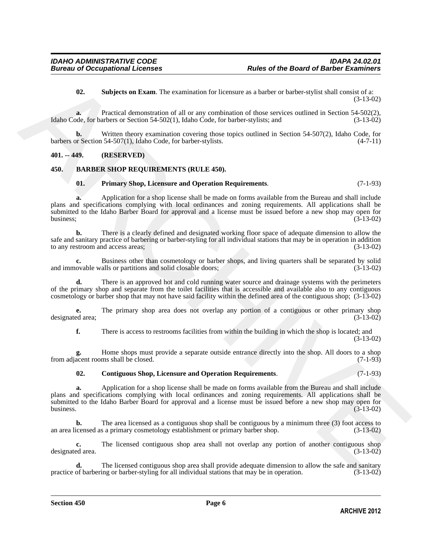<span id="page-5-5"></span>**02. Subjects on Exam**. The examination for licensure as a barber or barber-stylist shall consist of a: (3-13-02)

**a.** Practical demonstration of all or any combination of those services outlined in Section 54-502(2), Idaho Code, for barbers or Section 54-502(1), Idaho Code, for barber-stylists; and (3-13-02)

**b.** Written theory examination covering those topics outlined in Section 54-507(2), Idaho Code, for barbers or Section 54-507(1), Idaho Code, for barber-stylists. (4-7-11)

#### <span id="page-5-0"></span>**401. -- 449. (RESERVED)**

#### <span id="page-5-1"></span>**450. BARBER SHOP REQUIREMENTS (RULE 450).**

#### <span id="page-5-4"></span><span id="page-5-2"></span>**01. Primary Shop, Licensure and Operation Requirements**. (7-1-93)

**10.** Subjects on Risan, The examination for Keensare at a halver or harder or yield valid Consister's and<br>
10. Subjects of Procedure ARCHIVES (11.10)<br>
10. Subjects of Subscriptions of all or any contribution of those ser **a.** Application for a shop license shall be made on forms available from the Bureau and shall include plans and specifications complying with local ordinances and zoning requirements. All applications shall be submitted to the Idaho Barber Board for approval and a license must be issued before a new shop may open for business: (3-13-02) business;  $(3-13-02)$ 

**b.** There is a clearly defined and designated working floor space of adequate dimension to allow the safe and sanitary practice of barbering or barber-styling for all individual stations that may be in operation in addition to any restroom and access areas; (3-13-02)

**c.** Business other than cosmetology or barber shops, and living quarters shall be separated by solid ovable walls or partitions and solid closable doors; (3-13-02) and immovable walls or partitions and solid closable doors;

There is an approved hot and cold running water source and drainage systems with the perimeters of the primary shop and separate from the toilet facilities that is accessible and available also to any contiguous cosmetology or barber shop that may not have said facility within the defined area of the contiguous shop; (3-13-02)

**e.** The primary shop area does not overlap any portion of a contiguous or other primary shop designated area; (3-13-02)

**f.** There is access to restrooms facilities from within the building in which the shop is located; and (3-13-02)

**g.** Home shops must provide a separate outside entrance directly into the shop. All doors to a shop acent rooms shall be closed. (7-1-93) from adjacent rooms shall be closed.

#### <span id="page-5-3"></span>**02. Contiguous Shop, Licensure and Operation Requirements**. (7-1-93)

**a.** Application for a shop license shall be made on forms available from the Bureau and shall include plans and specifications complying with local ordinances and zoning requirements. All applications shall be submitted to the Idaho Barber Board for approval and a license must be issued before a new shop may open for business. (3-13-02) business.  $(3-13-02)$ 

**b.** The area licensed as a contiguous shop shall be contiguous by a minimum three (3) foot access to icensed as a primary cosmetology establishment or primary barber shop. (3-13-02) an area licensed as a primary cosmetology establishment or primary barber shop.

**c.** The licensed contiguous shop area shall not overlap any portion of another contiguous shop ed area.  $(3-13-02)$ designated area.

**d.** The licensed contiguous shop area shall provide adequate dimension to allow the safe and sanitary of barbering or barber-styling for all individual stations that may be in operation. (3-13-02) practice of barbering or barber-styling for all individual stations that may be in operation.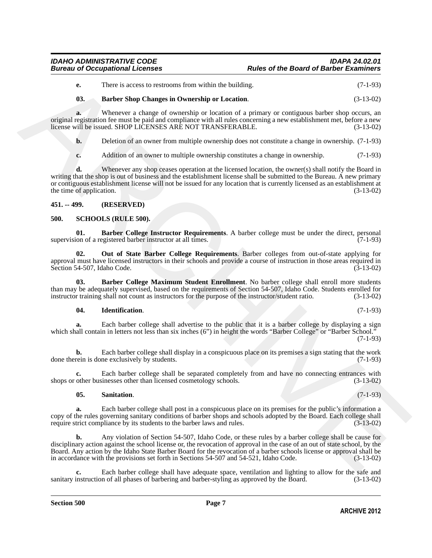<span id="page-6-2"></span>

| е. | There is access to restrooms from within the building. | $(7-1-93)$ |
|----|--------------------------------------------------------|------------|
|----|--------------------------------------------------------|------------|

#### **03. Barber Shop Changes in Ownership or Location**. (3-13-02)

**a.** Whenever a change of ownership or location of a primary or contiguous barber shop occurs, an original registration fee must be paid and compliance with all rules concerning a new establishment met, before a new license will be issued. SHOP LICENSES ARE NOT TRANSFERABLE.

**b.** Deletion of an owner from multiple ownership does not constitute a change in ownership.  $(7-1-93)$ 

**c.** Addition of an owner to multiple ownership constitutes a change in ownership. (7-1-93)

C. There is bases to pseudome from which the holiding.<br>
(3.1.45)<br>
(3.1.46)<br>
(3.1.4 Turbuch Shape is the procedure of conversion or Location of a primary or contiguous better shop corret, an<br>
signal  $R^2$  (3.140)<br>
(4.2.4 T **d.** Whenever any shop ceases operation at the licensed location, the owner(s) shall notify the Board in writing that the shop is out of business and the establishment license shall be submitted to the Bureau. A new primary or contiguous establishment license will not be issued for any location that is currently licensed as an establishment at the time of application. (3-13-02)

#### <span id="page-6-0"></span>**451. -- 499. (RESERVED)**

#### <span id="page-6-3"></span><span id="page-6-1"></span>**500. SCHOOLS (RULE 500).**

<span id="page-6-4"></span>**01. Barber College Instructor Requirements**. A barber college must be under the direct, personal ion of a registered barber instructor at all times. (7-1-93) supervision of a registered barber instructor at all times.

<span id="page-6-7"></span>**02. Out of State Barber College Requirements**. Barber colleges from out-of-state applying for approval must have licensed instructors in their schools and provide a course of instruction in those areas required in Section 54-507, Idaho Code. (3-13-02) Section 54-507, Idaho Code.

**03. Barber College Maximum Student Enrollment**. No barber college shall enroll more students than may be adequately supervised, based on the requirements of Section 54-507, Idaho Code. Students enrolled for instructor training shall not count as instructors for the purpose of the instructor/student ratio. (3-13-02 instructor training shall not count as instructors for the purpose of the instructor/student ratio.

#### <span id="page-6-6"></span><span id="page-6-5"></span>**04. Identification**. (7-1-93)

**a.** Each barber college shall advertise to the public that it is a barber college by displaying a sign which shall contain in letters not less than six inches (6") in height the words "Barber College" or "Barber School."  $(7-1-93)$ 

**b.** Each barber college shall display in a conspicuous place on its premises a sign stating that the work rein is done exclusively by students. (7-1-93) done therein is done exclusively by students.

**c.** Each barber college shall be separated completely from and have no connecting entrances with shops or other businesses other than licensed cosmetology schools. (3-13-02)

#### <span id="page-6-8"></span>**05. Sanitation**. (7-1-93)

**a.** Each barber college shall post in a conspicuous place on its premises for the public's information a copy of the rules governing sanitary conditions of barber shops and schools adopted by the Board. Each college shall require strict compliance by its students to the barber laws and rules. (3-13-02) require strict compliance by its students to the barber laws and rules.

**b.** Any violation of Section 54-507, Idaho Code, or these rules by a barber college shall be cause for disciplinary action against the school license or, the revocation of approval in the case of an out of state school, by the Board. Any action by the Idaho State Barber Board for the revocation of a barber schools license or approval shall be in accordance with the provisions set forth in Sections 54-507 and 54-521, Idaho Code. (3-13-02)

Each barber college shall have adequate space, ventilation and lighting to allow for the safe and n of all phases of barbering and barber-styling as approved by the Board. (3-13-02) sanitary instruction of all phases of barbering and barber-styling as approved by the Board.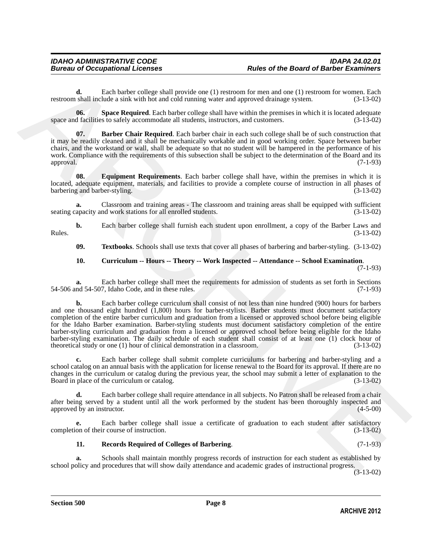**d.** Each barber college shall provide one (1) restroom for men and one (1) restroom for women. Each restroom shall include a sink with hot and cold running water and approved drainage system. (3-13-02)

<span id="page-7-4"></span>**06.** Space Required. Each barber college shall have within the premises in which it is located adequate of facilities to safely accommodate all students, instructors, and customers. (3-13-02) space and facilities to safely accommodate all students, instructors, and customers.

<span id="page-7-0"></span>**07. Barber Chair Required**. Each barber chair in each such college shall be of such construction that it may be readily cleaned and it shall be mechanically workable and in good working order. Space between barber chairs, and the workstand or wall, shall be adequate so that no student will be hampered in the performance of his work. Compliance with the requirements of this subsection shall be subject to the determination of the Board and its approval. (7-1-93) approval. (7-1-93)

<span id="page-7-2"></span>**08. Equipment Requirements**. Each barber college shall have, within the premises in which it is located, adequate equipment, materials, and facilities to provide a complete course of instruction in all phases of barbering and barber-styling. (3-13-02)

**a.** Classroom and training areas - The classroom and training areas shall be equipped with sufficient seating capacity and work stations for all enrolled students. (3-13-02)

**b.** Each barber college shall furnish each student upon enrollment, a copy of the Barber Laws and (3-13-02)  $Rules.$  (3-13-02)

<span id="page-7-5"></span>**09. Textbooks**. Schools shall use texts that cover all phases of barbering and barber-styling. (3-13-02)

### <span id="page-7-1"></span>**10. Curriculum -- Hours -- Theory -- Work Inspected -- Attendance -- School Examination**.

(7-1-93)

**a.** Each barber college shall meet the requirements for admission of students as set forth in Sections nd 54-507, Idaho Code, and in these rules. (7-1-93) 54-506 and 54-507, Idaho Code, and in these rules.

reaction distribution to the state of the three states (1) teament for men and one (1) restrictes the state of the state of the state of the state of the state of the state of the state of the state of the state of the st **b.** Each barber college curriculum shall consist of not less than nine hundred (900) hours for barbers and one thousand eight hundred (1,800) hours for barber-stylists. Barber students must document satisfactory completion of the entire barber curriculum and graduation from a licensed or approved school before being eligible for the Idaho Barber examination. Barber-styling students must document satisfactory completion of the entire barber-styling curriculum and graduation from a licensed or approved school before being eligible for the Idaho barber-styling examination. The daily schedule of each student shall consist of at least one (1) clock hour of theoretical study or one (1) hour of clinical demonstration in a classroom. (3-13-02) theoretical study or one  $(1)$  hour of clinical demonstration in a classroom.

**c.** Each barber college shall submit complete curriculums for barbering and barber-styling and a school catalog on an annual basis with the application for license renewal to the Board for its approval. If there are no changes in the curriculum or catalog during the previous year, the school may submit a letter of explanation to the Board in place of the curriculum or catalog. (3-13-02)

**d.** Each barber college shall require attendance in all subjects. No Patron shall be released from a chair after being served by a student until all the work performed by the student has been thoroughly inspected and approved by an instructor. (4-5-00) approved by an instructor.

**e.** Each barber college shall issue a certificate of graduation to each student after satisfactory on of their course of instruction. (3-13-02) completion of their course of instruction.

### <span id="page-7-3"></span>**11. Records Required of Colleges of Barbering**. (7-1-93)

**a.** Schools shall maintain monthly progress records of instruction for each student as established by school policy and procedures that will show daily attendance and academic grades of instructional progress.

(3-13-02)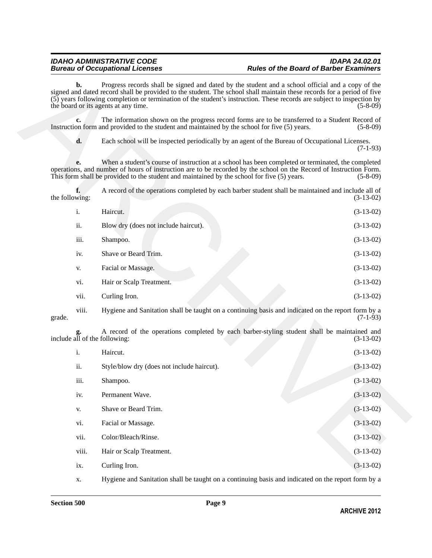| i.   | Haircut.                             | $(3-13-02)$ |
|------|--------------------------------------|-------------|
| ii.  | Blow dry (does not include haircut). | $(3-13-02)$ |
| iii. | Shampoo.                             | $(3-13-02)$ |
| iv.  | Shave or Beard Trim.                 | $(3-13-02)$ |
| V.   | Facial or Massage.                   | $(3-13-02)$ |
| vi.  | Hair or Scalp Treatment.             | $(3-13-02)$ |
| vii. | Curling Iron.                        | $(3-13-02)$ |
|      |                                      |             |

|                | $\mathbf{b}$ . | Progress records shall be signed and dated by the student and a school official and a copy of the<br>signed and dated record shall be provided to the student. The school shall maintain these records for a period of five<br>(5) years following completion or termination of the student's instruction. These records are subject to inspection by<br>the board or its agents at any time. | $(5-8-09)$  |
|----------------|----------------|-----------------------------------------------------------------------------------------------------------------------------------------------------------------------------------------------------------------------------------------------------------------------------------------------------------------------------------------------------------------------------------------------|-------------|
|                | c.             | The information shown on the progress record forms are to be transferred to a Student Record of<br>Instruction form and provided to the student and maintained by the school for five (5) years.                                                                                                                                                                                              | $(5-8-09)$  |
|                | d.             | Each school will be inspected periodically by an agent of the Bureau of Occupational Licenses.                                                                                                                                                                                                                                                                                                | $(7-1-93)$  |
|                | e.             | When a student's course of instruction at a school has been completed or terminated, the completed<br>operations, and number of hours of instruction are to be recorded by the school on the Record of Instruction Form.<br>This form shall be provided to the student and maintained by the school for five (5) years.                                                                       | $(5-8-09)$  |
| the following: | f.             | A record of the operations completed by each barber student shall be maintained and include all of                                                                                                                                                                                                                                                                                            | $(3-13-02)$ |
|                | i.             | Haircut.                                                                                                                                                                                                                                                                                                                                                                                      | $(3-13-02)$ |
|                | ii.            | Blow dry (does not include haircut).                                                                                                                                                                                                                                                                                                                                                          | $(3-13-02)$ |
|                | iii.           | Shampoo.                                                                                                                                                                                                                                                                                                                                                                                      | $(3-13-02)$ |
|                | iv.            | Shave or Beard Trim.                                                                                                                                                                                                                                                                                                                                                                          | $(3-13-02)$ |
|                | V.             | Facial or Massage.                                                                                                                                                                                                                                                                                                                                                                            | $(3-13-02)$ |
|                | vi.            | Hair or Scalp Treatment.                                                                                                                                                                                                                                                                                                                                                                      | $(3-13-02)$ |
|                | vii.           | Curling Iron.                                                                                                                                                                                                                                                                                                                                                                                 | $(3-13-02)$ |
| grade.         | viii.          | Hygiene and Sanitation shall be taught on a continuing basis and indicated on the report form by a                                                                                                                                                                                                                                                                                            | $(7-1-93)$  |
|                |                | A record of the operations completed by each barber-styling student shall be maintained and<br>include all of the following:                                                                                                                                                                                                                                                                  | $(3-13-02)$ |
|                | i.             | Haircut.                                                                                                                                                                                                                                                                                                                                                                                      | $(3-13-02)$ |
|                | ii.            | Style/blow dry (does not include haircut).                                                                                                                                                                                                                                                                                                                                                    | $(3-13-02)$ |
|                | iii.           | Shampoo.                                                                                                                                                                                                                                                                                                                                                                                      | $(3-13-02)$ |
|                | iv.            | Permanent Wave.                                                                                                                                                                                                                                                                                                                                                                               | $(3-13-02)$ |
|                | V.             | Shave or Beard Trim.                                                                                                                                                                                                                                                                                                                                                                          | $(3-13-02)$ |
|                | vi.            | Facial or Massage.                                                                                                                                                                                                                                                                                                                                                                            | $(3-13-02)$ |
|                | vii.           | Color/Bleach/Rinse.                                                                                                                                                                                                                                                                                                                                                                           | $(3-13-02)$ |
|                | viii.          | Hair or Scalp Treatment.                                                                                                                                                                                                                                                                                                                                                                      | $(3-13-02)$ |
|                | ix.            | Curling Iron.                                                                                                                                                                                                                                                                                                                                                                                 | $(3-13-02)$ |
|                |                |                                                                                                                                                                                                                                                                                                                                                                                               |             |

x. Hygiene and Sanitation shall be taught on a continuing basis and indicated on the report form by a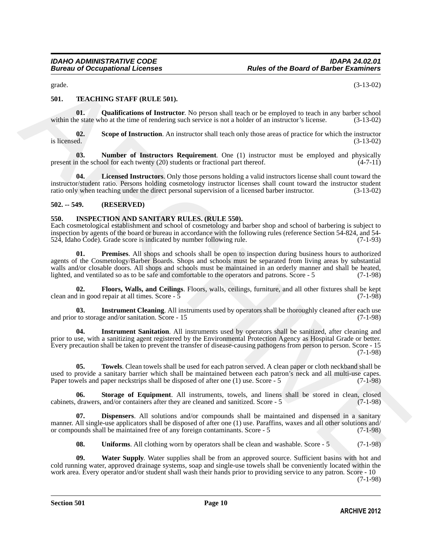<span id="page-9-13"></span>grade. (3-13-02)

### <span id="page-9-0"></span>**501. TEACHING STAFF (RULE 501).**

<span id="page-9-16"></span>**01. Qualifications of Instructor**. No person shall teach or be employed to teach in any barber school within the state who at the time of rendering such service is not a holder of an instructor's license. (3-13-02)

<span id="page-9-17"></span>**02.** Scope of Instruction. An instructor shall teach only those areas of practice for which the instructor is licensed.  $(3-13-02)$ is licensed.  $(3-13-02)$ 

<span id="page-9-15"></span>**03.** Number of Instructors Requirement. One (1) instructor must be employed and physically in the school for each twenty (20) students or fractional part thereof. (4-7-11) present in the school for each twenty (20) students or fractional part thereof.

<span id="page-9-14"></span>**Licensed Instructors**. Only those persons holding a valid instructors license shall count toward the instructor/student ratio. Persons holding cosmetology instructor licenses shall count toward the instructor student ratio only when teaching under the direct personal supervision of a licensed barber instructor. (3-13-02)

#### <span id="page-9-1"></span>**502. -- 549. (RESERVED)**

#### <span id="page-9-3"></span><span id="page-9-2"></span>**550. INSPECTION AND SANITARY RULES. (RULE 550).**

<span id="page-9-8"></span>Each cosmetological establishment and school of cosmetology and barber shop and school of barbering is subject to inspection by agents of the board or bureau in accordance with the following rules (reference Section 54-824, and 54-<br>524, Idaho Code). Grade score is indicated by number following rule. (7-1-93) 524, Idaho Čode). Grade score is indicated by number following rule.

grade.<br> **S1. TEACHIVE STATE (RULE S10.**<br> **S1.** (3.15.05)<br> **S1.** (3.15.05)<br> **S1.** (3.16.05)<br> **C1.16.** (3.16.05)<br> **C1.16.** (3.16.05)<br> **C1.16.** (3.16.05)<br> **C1.16.** (3.16.05)<br> **C2.** Some of hestrochom scenarios that there is **01. Premises**. All shops and schools shall be open to inspection during business hours to authorized agents of the Cosmetology/Barber Boards. Shops and schools must be separated from living areas by substantial walls and/or closable doors. All shops and schools must be maintained in an orderly manner and shall be heated, lighted, and ventilated so as to be safe and comfortable to the operators and patrons. Score - 5 (7-1-98)

<span id="page-9-5"></span>**02. Floors, Walls, and Ceilings**. Floors, walls, ceilings, furniture, and all other fixtures shall be kept in good repair at all times. Score - 5 clean and in good repair at all times. Score  $-5$ 

<span id="page-9-6"></span>**Instrument Cleaning**. All instruments used by operators shall be thoroughly cleaned after each use and prior to storage and/or sanitation. Score - 15 (7-1-98)

<span id="page-9-7"></span>**04. Instrument Sanitation**. All instruments used by operators shall be sanitized, after cleaning and prior to use, with a sanitizing agent registered by the Environmental Protection Agency as Hospital Grade or better. Every precaution shall be taken to prevent the transfer of disease-causing pathogens from person to person. Score - 15 (7-1-98)

<span id="page-9-10"></span>**05. Towels**. Clean towels shall be used for each patron served. A clean paper or cloth neckband shall be used to provide a sanitary barrier which shall be maintained between each patron's neck and all multi-use capes. Paper towels and paper neckstrips shall be disposed of after one (1) use. Score - 5 (7-1-98)

<span id="page-9-9"></span>**06.** Storage of Equipment. All instruments, towels, and linens shall be stored in clean, closed drawers, and/or containers after they are cleaned and sanitized. Score - 5 (7-1-98) cabinets, drawers, and/or containers after they are cleaned and sanitized. Score  $-5$ 

**Dispensers**. All solutions and/or compounds shall be maintained and dispensed in a sanitary manner. All single-use applicators shall be disposed of after one (1) use. Paraffins, waxes and all other solutions and/ or compounds shall be maintained free of any foreign contaminants. Score - 5 (7-1-98) or compounds shall be maintained free of any foreign contaminants. Score - 5

<span id="page-9-12"></span><span id="page-9-11"></span><span id="page-9-4"></span>**08.** Uniforms. All clothing worn by operators shall be clean and washable. Score - 5 (7-1-98)

**09. Water Supply**. Water supplies shall be from an approved source. Sufficient basins with hot and cold running water, approved drainage systems, soap and single-use towels shall be conveniently located within the work area. Every operator and/or student shall wash their hands prior to providing service to any patron. Score - 10

(7-1-98)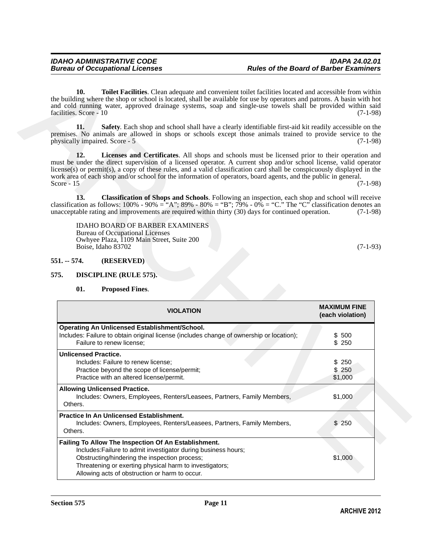<span id="page-10-7"></span><span id="page-10-6"></span><span id="page-10-5"></span>

| 10.                                                                                                                                                                                                                                                                                                                                                                                  | Toilet Facilities. Clean adequate and convenient toilet facilities located and accessible from within                |
|--------------------------------------------------------------------------------------------------------------------------------------------------------------------------------------------------------------------------------------------------------------------------------------------------------------------------------------------------------------------------------------|----------------------------------------------------------------------------------------------------------------------|
| the building where the shop or school is located, shall be available for use by operators and patrons. A basin with hot<br>and cold running water, approved drainage systems, soap and single-use towels shall be provided within said<br>facilities. Score - 10                                                                                                                     | $(7-1-98)$                                                                                                           |
| 11.<br>premises. No animals are allowed in shops or schools except those animals trained to provide service to the<br>physically impaired. Score - 5                                                                                                                                                                                                                                 | Safety. Each shop and school shall have a clearly identifiable first-aid kit readily accessible on the<br>$(7-1-98)$ |
| 12.<br>must be under the direct supervision of a licensed operator. A current shop and/or school license, valid operator<br>license(s) or permit(s), a copy of these rules, and a valid classification card shall be conspicuously displayed in the<br>work area of each shop and/or school for the information of operators, board agents, and the public in general.<br>Score - 15 | Licenses and Certificates. All shops and schools must be licensed prior to their operation and<br>$(7-1-98)$         |
| 13.<br>classification as follows: $100\% - 90\% =$ "A"; $89\% - 80\% =$ "B"; $79\% - 0\% =$ "C." The "C" classification denotes an<br>unacceptable rating and improvements are required within thirty (30) days for continued operation.                                                                                                                                             | Classification of Shops and Schools. Following an inspection, each shop and school will receive<br>$(7-1-98)$        |
| <b>IDAHO BOARD OF BARBER EXAMINERS</b><br><b>Bureau of Occupational Licenses</b><br>Owhyee Plaza, 1109 Main Street, Suite 200<br>Boise, Idaho 83702                                                                                                                                                                                                                                  | $(7-1-93)$                                                                                                           |
| (RESERVED)<br>$551. - 574.$                                                                                                                                                                                                                                                                                                                                                          |                                                                                                                      |
|                                                                                                                                                                                                                                                                                                                                                                                      |                                                                                                                      |
| 575.<br>DISCIPLINE (RULE 575).                                                                                                                                                                                                                                                                                                                                                       |                                                                                                                      |
|                                                                                                                                                                                                                                                                                                                                                                                      |                                                                                                                      |
| 01.<br><b>Proposed Fines.</b>                                                                                                                                                                                                                                                                                                                                                        |                                                                                                                      |
| <b>VIOLATION</b>                                                                                                                                                                                                                                                                                                                                                                     | <b>MAXIMUM FINE</b><br>(each violation)                                                                              |
| Operating An Unlicensed Establishment/School.                                                                                                                                                                                                                                                                                                                                        |                                                                                                                      |
| Includes: Failure to obtain original license (includes change of ownership or location);                                                                                                                                                                                                                                                                                             | \$ 500                                                                                                               |
| Failure to renew license;                                                                                                                                                                                                                                                                                                                                                            | \$250                                                                                                                |
| <b>Unlicensed Practice.</b>                                                                                                                                                                                                                                                                                                                                                          |                                                                                                                      |
| Includes: Failure to renew license;                                                                                                                                                                                                                                                                                                                                                  | \$250                                                                                                                |
| Practice beyond the scope of license/permit;                                                                                                                                                                                                                                                                                                                                         | \$250                                                                                                                |
| Practice with an altered license/permit.                                                                                                                                                                                                                                                                                                                                             | \$1,000                                                                                                              |
| <b>Allowing Unlicensed Practice.</b><br>Includes: Owners, Employees, Renters/Leasees, Partners, Family Members,<br>Others.                                                                                                                                                                                                                                                           | \$1,000                                                                                                              |
| Practice In An Unlicensed Establishment.                                                                                                                                                                                                                                                                                                                                             |                                                                                                                      |
| Includes: Owners, Employees, Renters/Leasees, Partners, Family Members,<br>Others.                                                                                                                                                                                                                                                                                                   | \$250                                                                                                                |
| Failing To Allow The Inspection Of An Establishment.                                                                                                                                                                                                                                                                                                                                 |                                                                                                                      |
| Includes: Failure to admit investigator during business hours;                                                                                                                                                                                                                                                                                                                       |                                                                                                                      |
| Obstructing/hindering the inspection process;                                                                                                                                                                                                                                                                                                                                        | \$1,000                                                                                                              |
| Threatening or exerting physical harm to investigators;<br>Allowing acts of obstruction or harm to occur.                                                                                                                                                                                                                                                                            |                                                                                                                      |

## <span id="page-10-4"></span><span id="page-10-3"></span><span id="page-10-2"></span><span id="page-10-1"></span><span id="page-10-0"></span>**01. Proposed Fines**.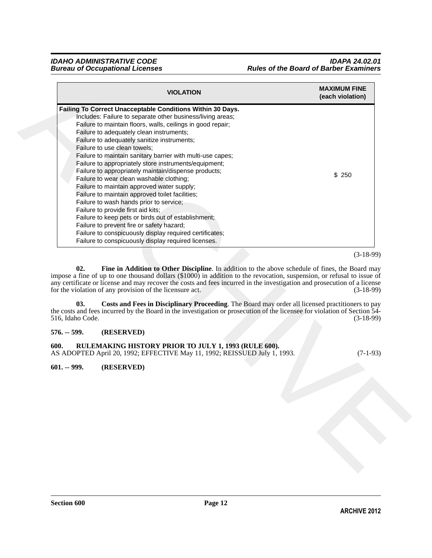| Failing To Correct Unacceptable Conditions Within 30 Days.<br>Includes: Failure to separate other business/living areas;<br>Failure to maintain floors, walls, ceilings in good repair;<br>Failure to adequately clean instruments;<br>Failure to adequately sanitize instruments;<br>Failure to use clean towels;<br>Failure to maintain sanitary barrier with multi-use capes;<br>Failure to appropriately store instruments/equipment;<br>Failure to appropriately maintain/dispense products;<br>\$250<br>Failure to wear clean washable clothing;<br>Failure to maintain approved water supply;<br>Failure to maintain approved toilet facilities;<br>Failure to wash hands prior to service;<br>Failure to provide first aid kits;<br>Failure to keep pets or birds out of establishment;<br>Failure to prevent fire or safety hazard;<br>Failure to conspicuously display required certificates;<br>Failure to conspicuously display required licenses.<br>$(3-18-99)$<br>02.<br>Fine in Addition to Other Discipline. In addition to the above schedule of fines, the Board may<br>impose a fine of up to one thousand dollars $(\$1000)$ in addition to the revocation, suspension, or refusal to issue of<br>any certificate or license and may recover the costs and fees incurred in the investigation and prosecution of a license<br>for the violation of any provision of the licensure act.<br>Costs and Fees in Disciplinary Proceeding. The Board may order all licensed practitioners to pay<br>03.<br>the costs and fees incurred by the Board in the investigation or prosecution of the licensee for violation of Section 54-<br>516, Idaho Code.<br>(RESERVED)<br>RULEMAKING HISTORY PRIOR TO JULY 1, 1993 (RULE 600).<br>AS ADOPTED April 20, 1992; EFFECTIVE May 11, 1992; REISSUED July 1, 1993.<br>(RESERVED) |                                        | <b>VIOLATION</b> | <b>MAXIMUM FINE</b><br>(each violation) |
|------------------------------------------------------------------------------------------------------------------------------------------------------------------------------------------------------------------------------------------------------------------------------------------------------------------------------------------------------------------------------------------------------------------------------------------------------------------------------------------------------------------------------------------------------------------------------------------------------------------------------------------------------------------------------------------------------------------------------------------------------------------------------------------------------------------------------------------------------------------------------------------------------------------------------------------------------------------------------------------------------------------------------------------------------------------------------------------------------------------------------------------------------------------------------------------------------------------------------------------------------------------------------------------------------------------------------------------------------------------------------------------------------------------------------------------------------------------------------------------------------------------------------------------------------------------------------------------------------------------------------------------------------------------------------------------------------------------------------------------------------------------------------------------------------------------------------------------|----------------------------------------|------------------|-----------------------------------------|
|                                                                                                                                                                                                                                                                                                                                                                                                                                                                                                                                                                                                                                                                                                                                                                                                                                                                                                                                                                                                                                                                                                                                                                                                                                                                                                                                                                                                                                                                                                                                                                                                                                                                                                                                                                                                                                          |                                        |                  |                                         |
|                                                                                                                                                                                                                                                                                                                                                                                                                                                                                                                                                                                                                                                                                                                                                                                                                                                                                                                                                                                                                                                                                                                                                                                                                                                                                                                                                                                                                                                                                                                                                                                                                                                                                                                                                                                                                                          |                                        |                  |                                         |
|                                                                                                                                                                                                                                                                                                                                                                                                                                                                                                                                                                                                                                                                                                                                                                                                                                                                                                                                                                                                                                                                                                                                                                                                                                                                                                                                                                                                                                                                                                                                                                                                                                                                                                                                                                                                                                          |                                        |                  |                                         |
|                                                                                                                                                                                                                                                                                                                                                                                                                                                                                                                                                                                                                                                                                                                                                                                                                                                                                                                                                                                                                                                                                                                                                                                                                                                                                                                                                                                                                                                                                                                                                                                                                                                                                                                                                                                                                                          |                                        |                  |                                         |
|                                                                                                                                                                                                                                                                                                                                                                                                                                                                                                                                                                                                                                                                                                                                                                                                                                                                                                                                                                                                                                                                                                                                                                                                                                                                                                                                                                                                                                                                                                                                                                                                                                                                                                                                                                                                                                          |                                        |                  |                                         |
|                                                                                                                                                                                                                                                                                                                                                                                                                                                                                                                                                                                                                                                                                                                                                                                                                                                                                                                                                                                                                                                                                                                                                                                                                                                                                                                                                                                                                                                                                                                                                                                                                                                                                                                                                                                                                                          |                                        |                  |                                         |
|                                                                                                                                                                                                                                                                                                                                                                                                                                                                                                                                                                                                                                                                                                                                                                                                                                                                                                                                                                                                                                                                                                                                                                                                                                                                                                                                                                                                                                                                                                                                                                                                                                                                                                                                                                                                                                          |                                        |                  |                                         |
|                                                                                                                                                                                                                                                                                                                                                                                                                                                                                                                                                                                                                                                                                                                                                                                                                                                                                                                                                                                                                                                                                                                                                                                                                                                                                                                                                                                                                                                                                                                                                                                                                                                                                                                                                                                                                                          |                                        |                  |                                         |
|                                                                                                                                                                                                                                                                                                                                                                                                                                                                                                                                                                                                                                                                                                                                                                                                                                                                                                                                                                                                                                                                                                                                                                                                                                                                                                                                                                                                                                                                                                                                                                                                                                                                                                                                                                                                                                          |                                        |                  |                                         |
|                                                                                                                                                                                                                                                                                                                                                                                                                                                                                                                                                                                                                                                                                                                                                                                                                                                                                                                                                                                                                                                                                                                                                                                                                                                                                                                                                                                                                                                                                                                                                                                                                                                                                                                                                                                                                                          |                                        |                  |                                         |
|                                                                                                                                                                                                                                                                                                                                                                                                                                                                                                                                                                                                                                                                                                                                                                                                                                                                                                                                                                                                                                                                                                                                                                                                                                                                                                                                                                                                                                                                                                                                                                                                                                                                                                                                                                                                                                          |                                        |                  |                                         |
|                                                                                                                                                                                                                                                                                                                                                                                                                                                                                                                                                                                                                                                                                                                                                                                                                                                                                                                                                                                                                                                                                                                                                                                                                                                                                                                                                                                                                                                                                                                                                                                                                                                                                                                                                                                                                                          |                                        |                  |                                         |
|                                                                                                                                                                                                                                                                                                                                                                                                                                                                                                                                                                                                                                                                                                                                                                                                                                                                                                                                                                                                                                                                                                                                                                                                                                                                                                                                                                                                                                                                                                                                                                                                                                                                                                                                                                                                                                          |                                        |                  |                                         |
|                                                                                                                                                                                                                                                                                                                                                                                                                                                                                                                                                                                                                                                                                                                                                                                                                                                                                                                                                                                                                                                                                                                                                                                                                                                                                                                                                                                                                                                                                                                                                                                                                                                                                                                                                                                                                                          |                                        |                  |                                         |
|                                                                                                                                                                                                                                                                                                                                                                                                                                                                                                                                                                                                                                                                                                                                                                                                                                                                                                                                                                                                                                                                                                                                                                                                                                                                                                                                                                                                                                                                                                                                                                                                                                                                                                                                                                                                                                          |                                        |                  |                                         |
|                                                                                                                                                                                                                                                                                                                                                                                                                                                                                                                                                                                                                                                                                                                                                                                                                                                                                                                                                                                                                                                                                                                                                                                                                                                                                                                                                                                                                                                                                                                                                                                                                                                                                                                                                                                                                                          |                                        |                  |                                         |
|                                                                                                                                                                                                                                                                                                                                                                                                                                                                                                                                                                                                                                                                                                                                                                                                                                                                                                                                                                                                                                                                                                                                                                                                                                                                                                                                                                                                                                                                                                                                                                                                                                                                                                                                                                                                                                          |                                        |                  |                                         |
|                                                                                                                                                                                                                                                                                                                                                                                                                                                                                                                                                                                                                                                                                                                                                                                                                                                                                                                                                                                                                                                                                                                                                                                                                                                                                                                                                                                                                                                                                                                                                                                                                                                                                                                                                                                                                                          |                                        |                  |                                         |
|                                                                                                                                                                                                                                                                                                                                                                                                                                                                                                                                                                                                                                                                                                                                                                                                                                                                                                                                                                                                                                                                                                                                                                                                                                                                                                                                                                                                                                                                                                                                                                                                                                                                                                                                                                                                                                          |                                        |                  |                                         |
|                                                                                                                                                                                                                                                                                                                                                                                                                                                                                                                                                                                                                                                                                                                                                                                                                                                                                                                                                                                                                                                                                                                                                                                                                                                                                                                                                                                                                                                                                                                                                                                                                                                                                                                                                                                                                                          |                                        |                  |                                         |
|                                                                                                                                                                                                                                                                                                                                                                                                                                                                                                                                                                                                                                                                                                                                                                                                                                                                                                                                                                                                                                                                                                                                                                                                                                                                                                                                                                                                                                                                                                                                                                                                                                                                                                                                                                                                                                          |                                        |                  | $(3-18-99)$<br>$(3-18-99)$              |
|                                                                                                                                                                                                                                                                                                                                                                                                                                                                                                                                                                                                                                                                                                                                                                                                                                                                                                                                                                                                                                                                                                                                                                                                                                                                                                                                                                                                                                                                                                                                                                                                                                                                                                                                                                                                                                          |                                        |                  | $(7-1-93)$                              |
|                                                                                                                                                                                                                                                                                                                                                                                                                                                                                                                                                                                                                                                                                                                                                                                                                                                                                                                                                                                                                                                                                                                                                                                                                                                                                                                                                                                                                                                                                                                                                                                                                                                                                                                                                                                                                                          | $576. - 599.$<br>600.<br>$601. - 999.$ |                  |                                         |
|                                                                                                                                                                                                                                                                                                                                                                                                                                                                                                                                                                                                                                                                                                                                                                                                                                                                                                                                                                                                                                                                                                                                                                                                                                                                                                                                                                                                                                                                                                                                                                                                                                                                                                                                                                                                                                          |                                        |                  |                                         |

#### <span id="page-11-4"></span><span id="page-11-3"></span><span id="page-11-2"></span><span id="page-11-1"></span><span id="page-11-0"></span>**576. -- 599. (RESERVED)**